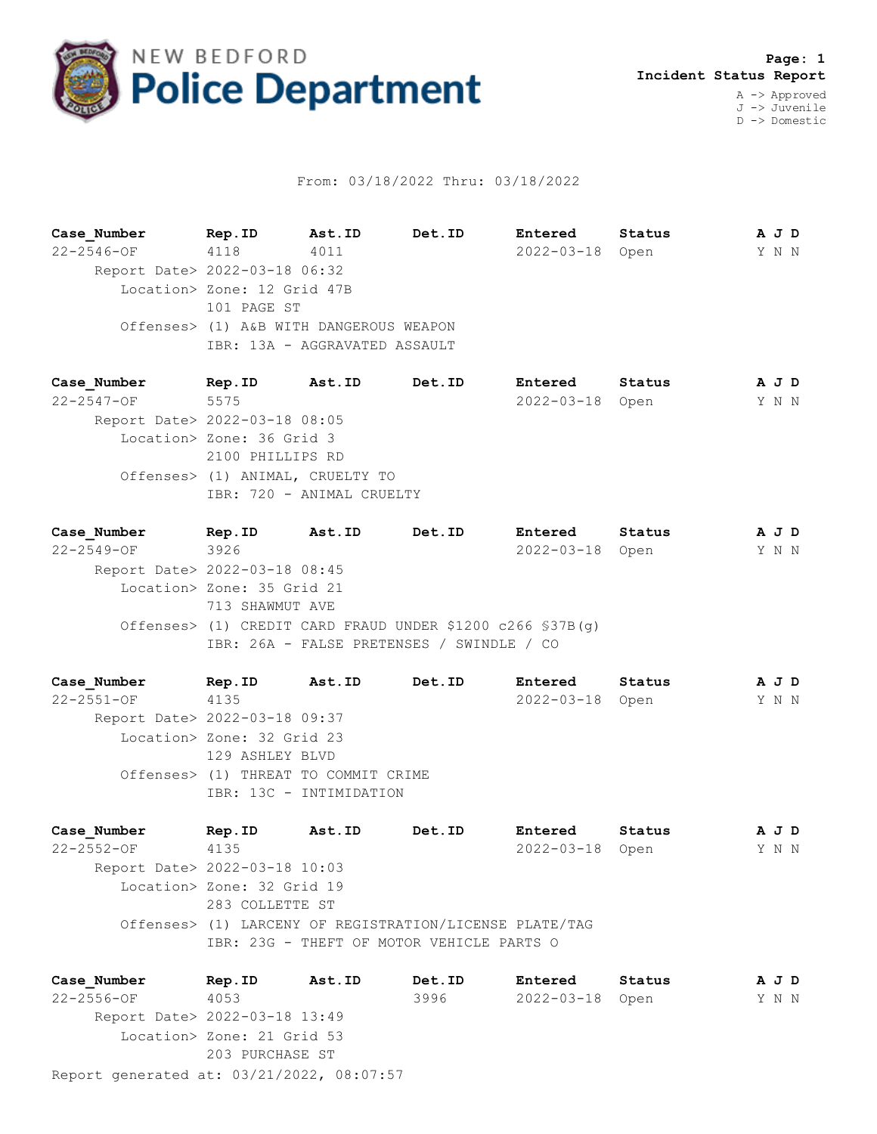

## From: 03/18/2022 Thru: 03/18/2022

**Case\_Number Rep.ID Ast.ID Det.ID Entered Status A J D** 22-2546-OF 4118 4011 2022-03-18 Open Y N N Report Date> 2022-03-18 06:32 Location> Zone: 12 Grid 47B 101 PAGE ST Offenses> (1) A&B WITH DANGEROUS WEAPON IBR: 13A - AGGRAVATED ASSAULT

**Case\_Number Rep.ID Ast.ID Det.ID Entered Status A J D** 22-2547-OF 5575 2022-03-18 Open Y N N Report Date> 2022-03-18 08:05 Location> Zone: 36 Grid 3 2100 PHILLIPS RD Offenses> (1) ANIMAL, CRUELTY TO IBR: 720 - ANIMAL CRUELTY

**Case\_Number Rep.ID Ast.ID Det.ID Entered Status A J D** 22-2549-OF 3926 2022-03-18 Open Y N N Report Date> 2022-03-18 08:45 Location> Zone: 35 Grid 21 713 SHAWMUT AVE Offenses> (1) CREDIT CARD FRAUD UNDER \$1200 c266 §37B(g) IBR: 26A - FALSE PRETENSES / SWINDLE / CO

**Case\_Number Rep.ID Ast.ID Det.ID Entered Status A J D** 22-2551-OF 4135 2022-03-18 Open Y N N Report Date> 2022-03-18 09:37 Location> Zone: 32 Grid 23 129 ASHLEY BLVD Offenses> (1) THREAT TO COMMIT CRIME IBR: 13C - INTIMIDATION

**Case\_Number Rep.ID Ast.ID Det.ID Entered Status A J D** 22-2552-OF 4135 2022-03-18 Open Y N N Report Date> 2022-03-18 10:03 Location> Zone: 32 Grid 19 283 COLLETTE ST Offenses> (1) LARCENY OF REGISTRATION/LICENSE PLATE/TAG IBR: 23G - THEFT OF MOTOR VEHICLE PARTS O

Report generated at: 03/21/2022, 08:07:57 **Case\_Number Rep.ID Ast.ID Det.ID Entered Status A J D** 22-2556-OF 4053 3996 2022-03-18 Open Y N N Report Date> 2022-03-18 13:49 Location> Zone: 21 Grid 53 203 PURCHASE ST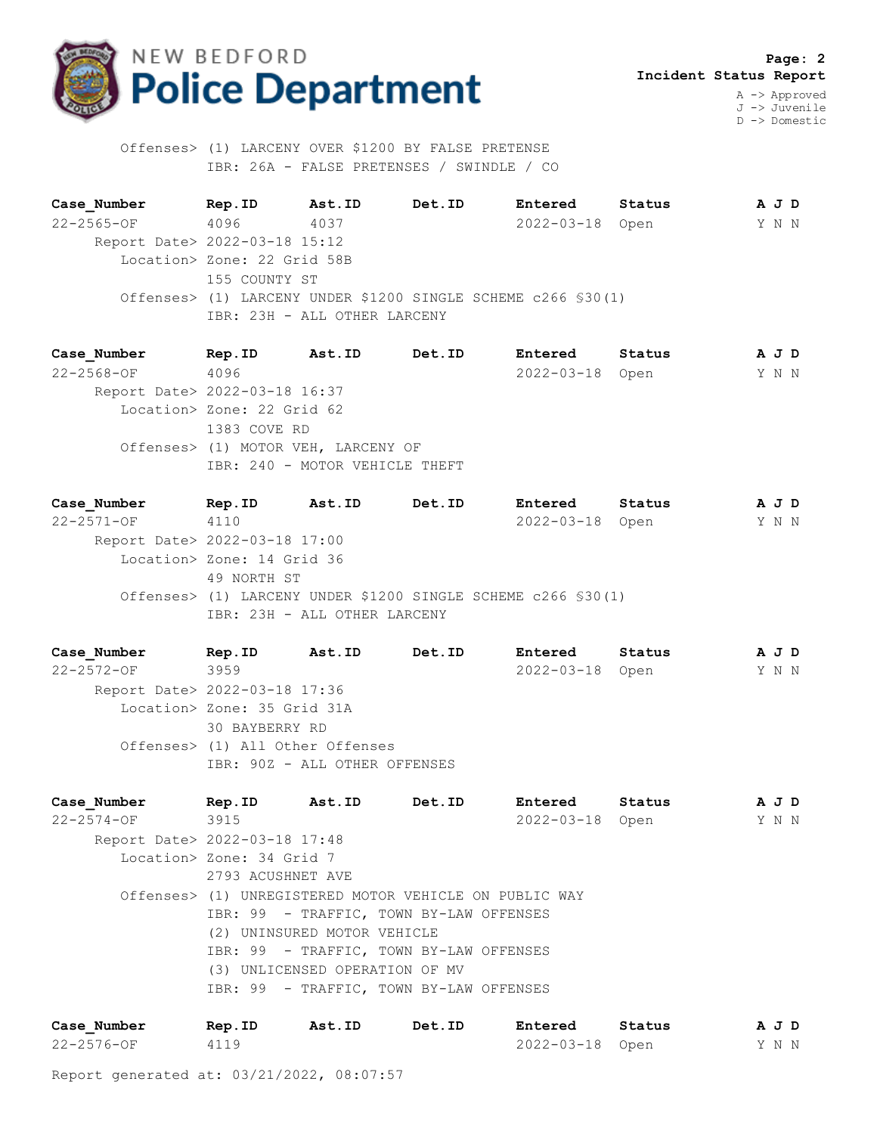

 **Page: 2 Incident Status Report** A -> Approved

J -> Juvenile D -> Domestic

 Offenses> (1) LARCENY OVER \$1200 BY FALSE PRETENSE IBR: 26A - FALSE PRETENSES / SWINDLE / CO

**Case\_Number Rep.ID Ast.ID Det.ID Entered Status A J D** 22-2565-OF 4096 4037 2022-03-18 Open Y N N Report Date> 2022-03-18 15:12 Location> Zone: 22 Grid 58B 155 COUNTY ST Offenses> (1) LARCENY UNDER \$1200 SINGLE SCHEME c266 §30(1) IBR: 23H - ALL OTHER LARCENY

**Case\_Number Rep.ID Ast.ID Det.ID Entered Status A J D** 22-2568-OF 4096 2022-03-18 Open Y N N Report Date> 2022-03-18 16:37 Location> Zone: 22 Grid 62 1383 COVE RD Offenses> (1) MOTOR VEH, LARCENY OF IBR: 240 - MOTOR VEHICLE THEFT

**Case\_Number Rep.ID Ast.ID Det.ID Entered Status A J D** 22-2571-OF 4110 2022-03-18 Open Y N N Report Date> 2022-03-18 17:00 Location> Zone: 14 Grid 36 49 NORTH ST Offenses> (1) LARCENY UNDER \$1200 SINGLE SCHEME c266 §30(1) IBR: 23H - ALL OTHER LARCENY

**Case\_Number Rep.ID Ast.ID Det.ID Entered Status A J D** 22-2572-OF 3959 2022-03-18 Open Y N N Report Date> 2022-03-18 17:36 Location> Zone: 35 Grid 31A 30 BAYBERRY RD Offenses> (1) All Other Offenses IBR: 90Z - ALL OTHER OFFENSES

**Case\_Number Rep.ID Ast.ID Det.ID Entered Status A J D** 22-2574-OF 3915 2022-03-18 Open Y N N Report Date> 2022-03-18 17:48 Location> Zone: 34 Grid 7 2793 ACUSHNET AVE Offenses> (1) UNREGISTERED MOTOR VEHICLE ON PUBLIC WAY IBR: 99 - TRAFFIC, TOWN BY-LAW OFFENSES (2) UNINSURED MOTOR VEHICLE IBR: 99 - TRAFFIC, TOWN BY-LAW OFFENSES (3) UNLICENSED OPERATION OF MV IBR: 99 - TRAFFIC, TOWN BY-LAW OFFENSES

| Case Number      | Rep.ID | Ast.ID | Det.ID | Entered         | Status | AJD   |  |
|------------------|--------|--------|--------|-----------------|--------|-------|--|
| $22 - 2576 - OF$ | 4119   |        |        | 2022-03-18 Open |        | Y N N |  |